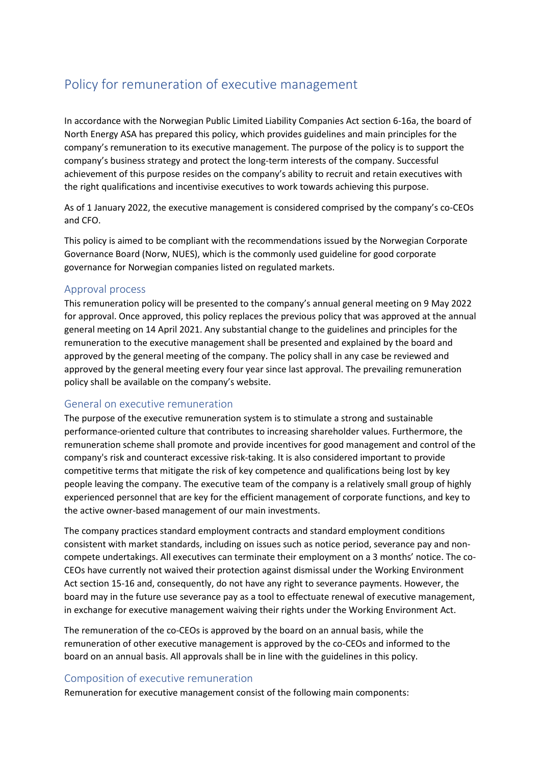# Policy for remuneration of executive management

In accordance with the Norwegian Public Limited Liability Companies Act section 6-16a, the board of North Energy ASA has prepared this policy, which provides guidelines and main principles for the company's remuneration to its executive management. The purpose of the policy is to support the company's business strategy and protect the long-term interests of the company. Successful achievement of this purpose resides on the company's ability to recruit and retain executives with the right qualifications and incentivise executives to work towards achieving this purpose.

As of 1 January 2022, the executive management is considered comprised by the company's co-CEOs and CFO.

This policy is aimed to be compliant with the recommendations issued by the Norwegian Corporate Governance Board (Norw, NUES), which is the commonly used guideline for good corporate governance for Norwegian companies listed on regulated markets.

#### Approval process

This remuneration policy will be presented to the company's annual general meeting on 9 May 2022 for approval. Once approved, this policy replaces the previous policy that was approved at the annual general meeting on 14 April 2021. Any substantial change to the guidelines and principles for the remuneration to the executive management shall be presented and explained by the board and approved by the general meeting of the company. The policy shall in any case be reviewed and approved by the general meeting every four year since last approval. The prevailing remuneration policy shall be available on the company's website.

#### General on executive remuneration

The purpose of the executive remuneration system is to stimulate a strong and sustainable performance-oriented culture that contributes to increasing shareholder values. Furthermore, the remuneration scheme shall promote and provide incentives for good management and control of the company's risk and counteract excessive risk-taking. It is also considered important to provide competitive terms that mitigate the risk of key competence and qualifications being lost by key people leaving the company. The executive team of the company is a relatively small group of highly experienced personnel that are key for the efficient management of corporate functions, and key to the active owner-based management of our main investments.

The company practices standard employment contracts and standard employment conditions consistent with market standards, including on issues such as notice period, severance pay and noncompete undertakings. All executives can terminate their employment on a 3 months' notice. The co-CEOs have currently not waived their protection against dismissal under the Working Environment Act section 15-16 and, consequently, do not have any right to severance payments. However, the board may in the future use severance pay as a tool to effectuate renewal of executive management, in exchange for executive management waiving their rights under the Working Environment Act.

The remuneration of the co-CEOs is approved by the board on an annual basis, while the remuneration of other executive management is approved by the co-CEOs and informed to the board on an annual basis. All approvals shall be in line with the guidelines in this policy.

#### Composition of executive remuneration

Remuneration for executive management consist of the following main components: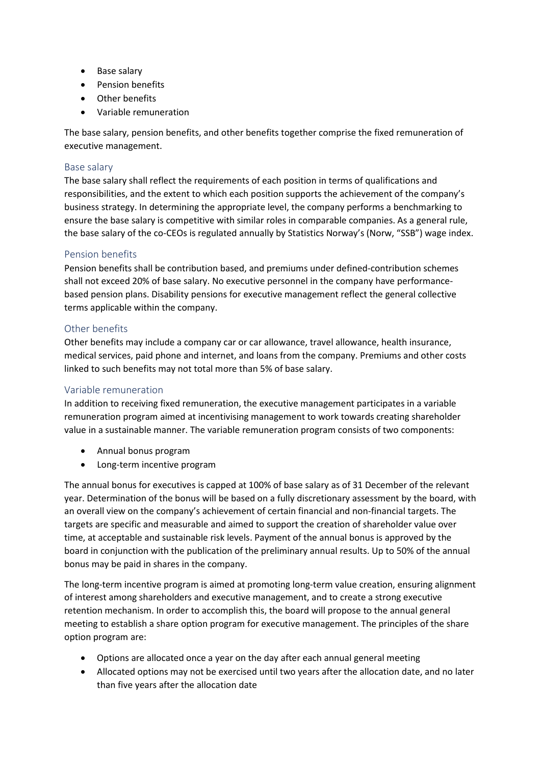- Base salary
- Pension benefits
- Other benefits
- Variable remuneration

The base salary, pension benefits, and other benefits together comprise the fixed remuneration of executive management.

#### Base salary

The base salary shall reflect the requirements of each position in terms of qualifications and responsibilities, and the extent to which each position supports the achievement of the company's business strategy. In determining the appropriate level, the company performs a benchmarking to ensure the base salary is competitive with similar roles in comparable companies. As a general rule, the base salary of the co-CEOs is regulated annually by Statistics Norway's (Norw, "SSB") wage index.

#### Pension benefits

Pension benefits shall be contribution based, and premiums under defined-contribution schemes shall not exceed 20% of base salary. No executive personnel in the company have performancebased pension plans. Disability pensions for executive management reflect the general collective terms applicable within the company.

#### Other benefits

Other benefits may include a company car or car allowance, travel allowance, health insurance, medical services, paid phone and internet, and loans from the company. Premiums and other costs linked to such benefits may not total more than 5% of base salary.

### Variable remuneration

In addition to receiving fixed remuneration, the executive management participates in a variable remuneration program aimed at incentivising management to work towards creating shareholder value in a sustainable manner. The variable remuneration program consists of two components:

- Annual bonus program
- Long-term incentive program

The annual bonus for executives is capped at 100% of base salary as of 31 December of the relevant year. Determination of the bonus will be based on a fully discretionary assessment by the board, with an overall view on the company's achievement of certain financial and non-financial targets. The targets are specific and measurable and aimed to support the creation of shareholder value over time, at acceptable and sustainable risk levels. Payment of the annual bonus is approved by the board in conjunction with the publication of the preliminary annual results. Up to 50% of the annual bonus may be paid in shares in the company.

The long-term incentive program is aimed at promoting long-term value creation, ensuring alignment of interest among shareholders and executive management, and to create a strong executive retention mechanism. In order to accomplish this, the board will propose to the annual general meeting to establish a share option program for executive management. The principles of the share option program are:

- Options are allocated once a year on the day after each annual general meeting
- Allocated options may not be exercised until two years after the allocation date, and no later than five years after the allocation date